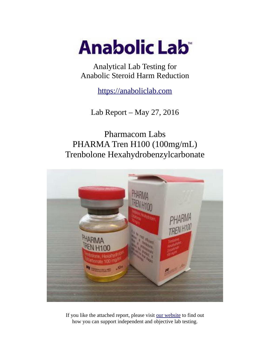

Analytical Lab Testing for Anabolic Steroid Harm Reduction

https://anaboliclab.com

Lab Report – May 27, 2016

Pharmacom Labs PHARMA Tren H100 (100mg/mL) Trenbolone Hexahydrobenzylcarbonate



If you like the attached report, please visit our website to find out how you can support independent and objective lab testing.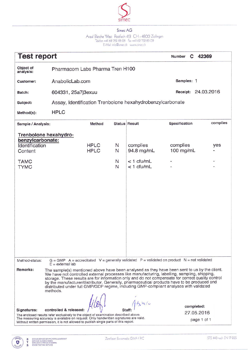

Areal Bleiche West Postfach 413 CH - 4800 Zofingen<br>Telefon +41 62 752 83 08 Fax +41 62 752 83 09<br>E-Mail: info@simecch www.simecch

| <b>Test report</b>                                          |                                                                                                                                                                                                                                                                                                                                                                                                                                                                                                                              |        |                              | C 42369<br>Number |            |
|-------------------------------------------------------------|------------------------------------------------------------------------------------------------------------------------------------------------------------------------------------------------------------------------------------------------------------------------------------------------------------------------------------------------------------------------------------------------------------------------------------------------------------------------------------------------------------------------------|--------|------------------------------|-------------------|------------|
| Object of<br>analysis:                                      | Pharmacom Labs Pharma Tren H100                                                                                                                                                                                                                                                                                                                                                                                                                                                                                              |        |                              |                   |            |
| <b>Customer:</b>                                            | AnabolicLab.com                                                                                                                                                                                                                                                                                                                                                                                                                                                                                                              |        |                              | Samples: 1        |            |
| Batch:                                                      | 604331, 25a7j3exuu                                                                                                                                                                                                                                                                                                                                                                                                                                                                                                           |        |                              | Receipt:          | 24.03.2016 |
| Subject:                                                    | Assay, Identification Trenbolone hexahydrobenzylcarbonate                                                                                                                                                                                                                                                                                                                                                                                                                                                                    |        |                              |                   |            |
| Method(s):                                                  | <b>HPLC</b>                                                                                                                                                                                                                                                                                                                                                                                                                                                                                                                  |        |                              |                   |            |
| Sample / Analysis:                                          |                                                                                                                                                                                                                                                                                                                                                                                                                                                                                                                              | Method | <b>Status Result</b>         | Specification     | complies   |
| Trenbolone hexahydro-<br>benzylcarbonate:<br>Identification | <b>HPLC</b>                                                                                                                                                                                                                                                                                                                                                                                                                                                                                                                  | N      | complies                     | complies          | yes        |
| Content                                                     | <b>HPLC</b>                                                                                                                                                                                                                                                                                                                                                                                                                                                                                                                  | N      | 94.8 mg/mL                   | 100 mg/mL         |            |
| <b>TAMC</b><br><b>TYMC</b>                                  |                                                                                                                                                                                                                                                                                                                                                                                                                                                                                                                              | N<br>N | $<$ 1 cfu/mL<br>$<$ 1 cfu/mL |                   | ۰          |
| Method-status:                                              | $G = GMP$ A = accreditated V = generally validated P = validated on product N = not validated                                                                                                                                                                                                                                                                                                                                                                                                                                |        |                              |                   |            |
| Remarks:                                                    | $E =$ external lab<br>The sample(s) mentioned above have been analysed as they have been sent to us by the client.<br>We have not controlled external processes like manufacturing, labelling, sampling, shipping,<br>storage. These results are for information only and do not compensate for correct quality control<br>by the manufacturer/distributor. Generally, pharmaceutical products have to be produced and<br>distributed under full GMP/GDP regime, including GMP-compliant analyses with validated<br>methods. |        | $-2640$                      | completed:        |            |
| Signatures:                                                 | controlled & released<br>The enclosed results refer exclusively to the object of examination described above.                                                                                                                                                                                                                                                                                                                                                                                                                |        |                              | 27.05.2016        |            |
|                                                             | The measuring accuracy is available on request. Only handwritten signatures are valid.<br>Without written permission, it is not allowed to publish single parts of this report.                                                                                                                                                                                                                                                                                                                                              |        |                              | page 1 of 1       |            |

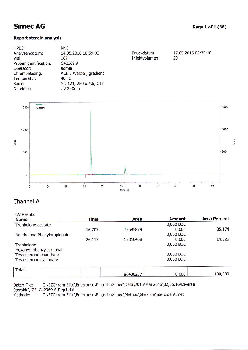17.05.2016 08:35:10

20

### **Report steroid analysis**

| HPLC:                 | Nr.5                    |                |
|-----------------------|-------------------------|----------------|
| Analysendatum:        | 14.05.2016 18:59:02     | Druckdatum:    |
| Vial:                 | 167                     | Injektvolumen: |
| Probenidentifikation: | C42369 A                |                |
| Operator:             | admin                   |                |
| Chrom.-Beding.        | ACN / Wasser, gradient  |                |
| Temperatur:           | 40 °C                   |                |
| Säule                 | Nr. 121, 250 x 4,6, C18 |                |
| Detektion:            | <b>UV 240nm</b>         |                |
|                       |                         |                |



## Channel A

| <b>UV Results</b>           |             |          |           |                     |
|-----------------------------|-------------|----------|-----------|---------------------|
| <b>Name</b>                 | <b>Time</b> | Area     | Amount    | <b>Area Percent</b> |
| Trenbolone acetate          |             |          | 0,000 BDL |                     |
|                             | 16,707      | 73595879 | 0,000     | 85,174              |
| Nandrolone Phenylpropionate |             |          | 0,000 BDL |                     |
|                             | 26,117      | 12810408 | 0,000     | 14,826              |
| Trenbolone                  |             |          | 0,000 BDL |                     |
| Hexahydrobenzylcarbonat     |             |          |           |                     |
| Testosterone enanthate      |             |          | 0,000 BDL |                     |
| Testosterone cypionate      |             |          | 0,000 BDL |                     |
|                             |             |          |           |                     |
| <b>Totals</b>               |             | 86406287 | 0,000     | 100,000             |

C:\EZChrom Elite\Enterprise\Projects\Simec\Data\2016\Mai 2016\02,05,16\Diverse Daten File: Steroide\125\_C42369 A-Rep1.dat C:\EZChrom Elite\Enterprise\Projects\Simec\Method\Steroide\Steroide A.met Methode: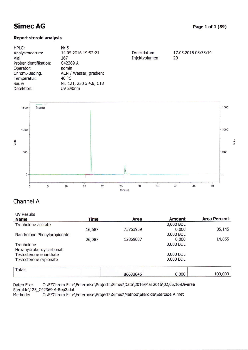08:35:14

### Report steraid analysis

| HPLC:                 | Nr.5                    |                |            |
|-----------------------|-------------------------|----------------|------------|
| Analysendatum:        | 14.05.2016 19:52:21     | Druckdatum:    | 17.05.2016 |
| Vial:                 | 167                     | Injektvolumen: | 20         |
| Probenidentifikation: | C42369 A                |                |            |
| Operator:             | admin                   |                |            |
| Chrom.-Beding.        | ACN / Wasser, gradient  |                |            |
| Temperatur:           | 40 °C                   |                |            |
| Säule                 | Nr. 121, 250 x 4,6, C18 |                |            |
| Detektion:            | <b>UV 240nm</b>         |                |            |
|                       |                         |                |            |



## Channel A

| <b>UV Results</b>           |             |          |               |                     |
|-----------------------------|-------------|----------|---------------|---------------------|
| <b>Name</b>                 | <b>Time</b> | Area     | <b>Amount</b> | <b>Area Percent</b> |
| Trenbolone acetate          |             |          | 0,000 BDL     |                     |
|                             | 16,687      | 73763959 | 0,000         | 85,145              |
| Nandrolone Phenylpropionate |             |          | 0,000 BDL     |                     |
|                             | 26,087      | 12869687 | 0,000         | 14,855              |
| Trenbolone                  |             |          | 0,000 BDL     |                     |
| Hexahydrobenzylcarbonat     |             |          |               |                     |
| Testosterone enanthate      |             |          | 0,000 BDL     |                     |
| Testosterone cypionate      |             |          | 0,000 BDL     |                     |
| <b>Totals</b>               |             | 86633646 | 0,000         | 100,000             |

Daten File: C:\EZChrom Elite\Enterprise\Projects\Simec\Data\2016\Mai 2016\02,05,16\Diverse Steroide\125\_C42369 A-Rep2.dat<br>Methode: C:\EZChrom Elite\ C:\EZChrom Elite\Enterprise\Projects\Simec\Method\Steroide\Steroide A.met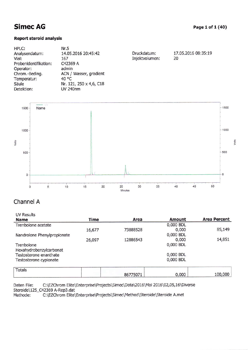### Report steroid analysis

| HPLC:                 | Nr.5                    |                |                     |
|-----------------------|-------------------------|----------------|---------------------|
| Analysendatum:        | 14.05.2016 20:45:42     | Druckdatum:    | 17.05.2016 08:35:19 |
| Vial:                 | 167                     | Injektvolumen: | 20                  |
| Probenidentifikation: | C42369 A                |                |                     |
| Operator:             | admin                   |                |                     |
| Chrom.-Beding.        | ACN / Wasser, gradient  |                |                     |
| Temperatur:           | 40 °C                   |                |                     |
| Säule                 | Nr. 121, 250 x 4,6, C18 |                |                     |
| Detektion:            | <b>UV 240nm</b>         |                |                     |



## Channel A

| <b>UV Results</b>           |             |          |               |                     |
|-----------------------------|-------------|----------|---------------|---------------------|
| <b>Name</b>                 | <b>Time</b> | Area     | <b>Amount</b> | <b>Area Percent</b> |
| Trenbolone acetate          |             |          | 0,000 BDL     |                     |
|                             | 16,677      | 73888528 | 0,000         | 85,149              |
| Nandrolone Phenylpropionate |             |          | 0,000 BDL     |                     |
|                             | 26,097      | 12886543 | 0,000         | 14,851              |
| Trenbolone                  |             |          | 0,000 BDL     |                     |
| Hexahydrobenzylcarbonat     |             |          |               |                     |
| Testosterone enanthate      |             |          | 0,000 BDL     |                     |
| Testosterone cypionate      |             |          | 0,000 BDL     |                     |
|                             |             |          |               |                     |
| <b>Totals</b>               |             | 86775071 | 0,000         | 100,000             |

Daten File: C:\EZChrom Elite\Enterprise\Projects\Simec\Data\2016\Mai 2016\02,05,16\Diverse Steroide\125\_C42369 A-Rep3.dat<br>Methode: C:\EZChrom Elite\

C:\EZChrom Elite\Enterprise\Projects\Simec\Method\Steroide\Steroide A.met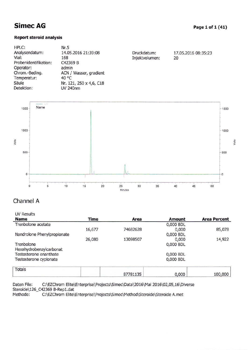#### **Report steroid analysis**

| HPLC:                 | Nr.5                    |                |                     |
|-----------------------|-------------------------|----------------|---------------------|
| Analysendatum:        | 14.05.2016 21:39:08     | Druckdatum:    | 17.05.2016 08:35:23 |
| Vial:                 | 168                     | Injektvolumen: | 20                  |
| Probenidentifikation: | C42369 B                |                |                     |
| Operator:             | admin                   |                |                     |
| Chrom.-Beding.        | ACN / Wasser, gradient  |                |                     |
| Temperatur:           | 40 °C                   |                |                     |
| Säule                 | Nr. 121, 250 x 4,6, C18 |                |                     |
| Detektion:            | <b>UV 240nm</b>         |                |                     |
|                       |                         |                |                     |



## Channel A

UV Results

| <b>Name</b>                 | <b>Time</b> | Area     | <b>Amount</b> | <b>Area Percent</b> |
|-----------------------------|-------------|----------|---------------|---------------------|
| Trenbolone acetate          |             |          | 0,000 BDL     |                     |
|                             | 16,677      | 74682628 | 0,000         | 85,078              |
| Nandrolone Phenylpropionate |             |          | 0,000 BDL     |                     |
|                             | 26,080      | 13098507 | 0,000         | 14,922              |
| Trenbolone                  |             |          | 0,000 BDL     |                     |
| Hexahydrobenzylcarbonat     |             |          |               |                     |
| Testosterone enanthate      |             |          | 0,000 BDL     |                     |
| Testosterone cypionate      |             |          | 0,000 BDL     |                     |
|                             |             |          |               |                     |
| <b>Totals</b>               |             |          |               |                     |
|                             |             | 87781135 | 0,000         | 100,000             |

Daten File: C:\EZChrom Elite\Enterprise\Projects\Simec\Data\2016\Mai 2016\02,05,16\Diverse Steroide\126\_C42369 B-Rep1.dat<br>Methode: C:\EZChrom Elite\ C:\EZChrom Elite\Enterprise\Projects\Simec\Method\Steroide\Steroide A.met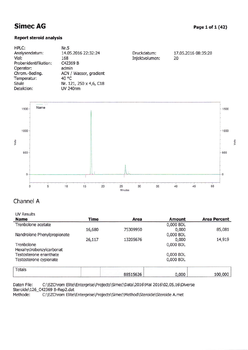#### Page 1 of 1 (42)

100,000

0,000

### **Report steroid analysis**

| HPLC:                 | Nr.5                    |                |                     |
|-----------------------|-------------------------|----------------|---------------------|
| Analysendatum:        | 14.05.2016 22:32:24     | Druckdatum:    | 17.05.2016 08:35:28 |
| Vial:                 | 168                     | Injektvolumen: | 20                  |
| Probenidentifikation: | C42369 B                |                |                     |
| Operator:             | admin                   |                |                     |
| Chrom.-Beding.        | ACN / Wasser, gradient  |                |                     |
| Temperatur:           | 40 $\degree$ C          |                |                     |
| Säule                 | Nr. 121, 250 x 4,6, C18 |                |                     |
| Detektion:            | UV 240nm                |                |                     |



## Channel A

| <b>UV Results</b>           |             |          |           |                     |
|-----------------------------|-------------|----------|-----------|---------------------|
| <b>Name</b>                 | <b>Time</b> | Area     | Amount    | <b>Area Percent</b> |
| Trenbolone acetate          |             |          | 0,000 BDL |                     |
|                             | 16,680      | 75309950 | 0,000     | 85,081              |
| Nandrolone Phenylpropionate |             |          | 0,000 BDL |                     |
|                             | 26,117      | 13205676 | 0,000     | 14,919              |
| Trenbolone                  |             |          | 0,000 BDL |                     |
| Hexahydrobenzylcarbonat     |             |          |           |                     |
| Testosterone enanthate      |             |          | 0,000 BDL |                     |
| Testosterone cypionate      |             |          | 0,000 BDL |                     |
|                             |             |          |           |                     |
| Totals                      |             |          |           |                     |

88515626

C:\EZChrom Elite\Enterprise\Projects\Simec\Data\2016\Mai 2016\02,05,16\Diverse Daten File: Steroide\126\_C42369 B-Rep2.dat

C:\EZChrom Elite\Enterprise\Projects\Simec\Method\Steroide\Steroide A.met Methode: